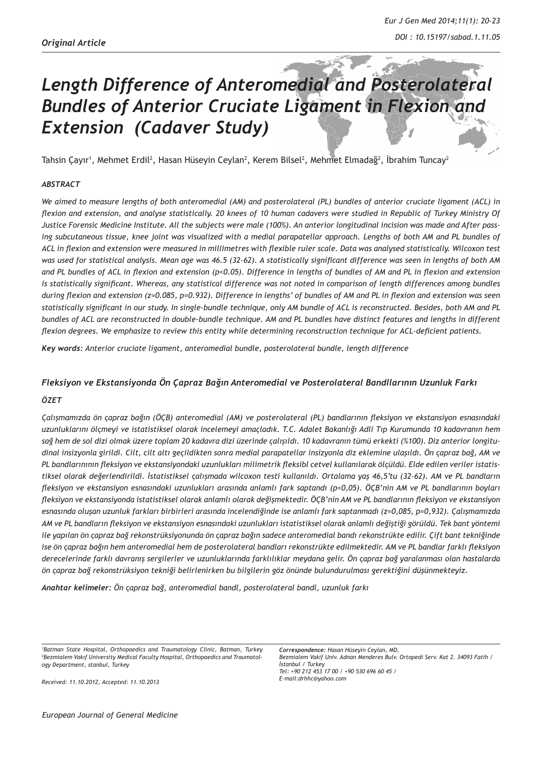# *Length Difference of Anteromedial and Posterolateral Bundles of Anterior Cruciate Ligament in Flexion and Extension (Cadaver Study)*

Tahsin Çayır<sup>ı</sup>, Mehmet Erdil<sup>2</sup>, Hasan Hüseyin Ceylan<sup>2</sup>, Kerem Bilsel<sup>2</sup>, Mehmet Elmadağ<sup>2</sup>, İbrahim Tuncay<sup>2</sup>

## *ABSTRACT*

*We aimed to measure lengths of both anteromedial (AM) and posterolateral (PL) bundles of anterior cruciate ligament (ACL) in flexion and extension, and analyse statistically. 20 knees of 10 human cadavers were studied in Republic of Turkey Ministry Of Justice Forensic Medicine Institute. All the subjects were male (100%). An anterior longitudinal incision was made and After pass*ing subcutaneous tissue, knee joint was visualized with a medial parapatellar approach. Lengths of both AM and PL bundles of *ACL in flexion and extension were measured in millimetres with flexible ruler scale. Data was analysed statistically. Wilcoxon test was used for statistical analysis. Mean age was 46.5 (32-62). A statistically significant difference was seen in lengths of both AM and PL bundles of ACL in flexion and extension (p<0.05). Difference in lengths of bundles of AM and PL in flexion and extension*  is statistically significant. Whereas, any statistical difference was not noted in comparison of length differences among bundles *during flexion and extension (z=0.085, p=0.932). Difference in lengths' of bundles of AM and PL in flexion and extension was seen statistically significant in our study. In single-bundle technique, only AM bundle of ACL is reconstructed. Besides, both AM and PL bundles of ACL are reconstructed in double-bundle technique. AM and PL bundles have distinct features and lengths in different flexion degrees. We emphasize to review this entity while determining reconstruction technique for ACL-deficient patients.*

*Key words: Anterior cruciate ligament, anteromedial bundle, posterolateral bundle, length difference*

## *Fleksiyon ve Ekstansiyonda Ön Çapraz Bağın Anteromedial ve Posterolateral Bandllarının Uzunluk Farkı*

#### *ÖZET*

*Çalışmamızda ön çapraz bağın (ÖÇB) anteromedial (AM) ve posterolateral (PL) bandlarının fleksiyon ve ekstansiyon esnasındaki uzunluklarını ölçmeyi ve istatistiksel olarak incelemeyi amaçladık. T.C. Adalet Bakanlığı Adli Tıp Kurumunda 10 kadavranın hem sağ hem de sol dizi olmak üzere toplam 20 kadavra dizi üzerinde çalışıldı. 10 kadavranın tümü erkekti (%100). Diz anterior longitudinal insizyonla girildi. Cilt, cilt altı geçildikten sonra medial parapatellar insizyonla diz eklemine ulaşıldı. Ön çapraz bağ, AM ve PL bandlarınının fleksiyon ve ekstansiyondaki uzunlukları milimetrik fleksibl cetvel kullanılarak ölçüldü. Elde edilen veriler istatistiksel olarak değerlendirildi. İstatistiksel çalışmada wilcoxon testi kullanıldı. Ortalama yaş 46,5'tu (32-62). AM ve PL bandların fleksiyon ve ekstansiyon esnasındaki uzunlukları arasında anlamlı fark saptandı (p<0,05). ÖÇB'nin AM ve PL bandlarının boyları fleksiyon ve ekstansiyonda istatistiksel olarak anlamlı olarak değişmektedir. ÖÇB'nin AM ve PL bandlarının fleksiyon ve ekstansiyon esnasında oluşan uzunluk farkları birbirleri arasında incelendiğinde ise anlamlı fark saptanmadı (z=0,085, p=0,932). Çalışmamızda AM ve PL bandların fleksiyon ve ekstansiyon esnasındaki uzunlukları istatistiksel olarak anlamlı değiştiği görüldü. Tek bant yöntemi ile yapılan ön çapraz bağ rekonstrüksiyonunda ön çapraz bağın sadece anteromedial bandı rekonstrükte edilir. Çift bant tekniğinde ise ön çapraz bağın hem anteromedial hem de posterolateral bandları rekonstrükte edilmektedir. AM ve PL bandlar farklı fleksiyon derecelerinde farklı davranış sergilerler ve uzunluklarında farklılıklar meydana gelir. Ön çapraz bağ yaralanması olan hastalarda ön çapraz bağ rekonstrüksiyon tekniği belirlenirken bu bilgilerin göz önünde bulundurulması gerektiğini düşünmekteyiz.*

*Anahtar kelimeler: Ön çapraz bağ, anteromedial bandl, posterolateral bandl, uzunluk farkı*

*1 Batman State Hospital, Orthopaedics and Traumatology Clinic, Batman, Turkey 2 Bezmialem Vakıf University Medical Faculty Hospital, Orthopaedics and Traumatology Department, stanbul, Turkey*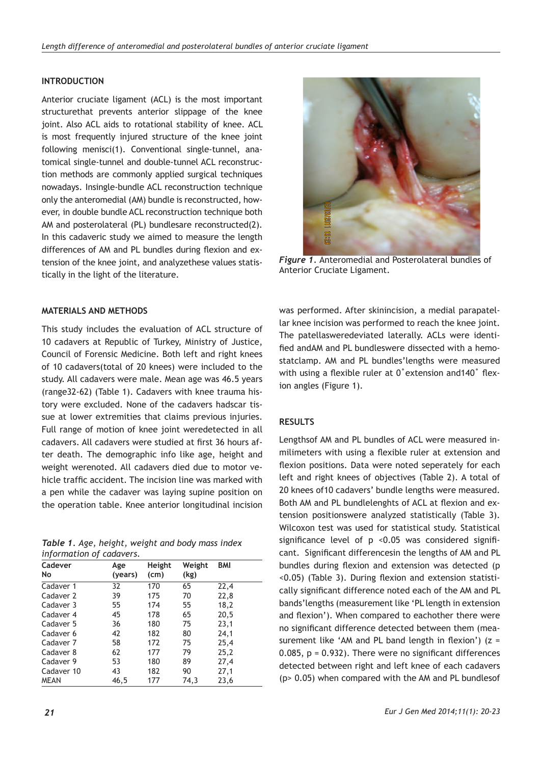# **INTRODUCTION**

Anterior cruciate ligament (ACL) is the most important structurethat prevents anterior slippage of the knee joint. Also ACL aids to rotational stability of knee. ACL is most frequently injured structure of the knee joint following menisci(1). Conventional single-tunnel, anatomical single-tunnel and double-tunnel ACL reconstruction methods are commonly applied surgical techniques nowadays. Insingle-bundle ACL reconstruction technique only the anteromedial (AM) bundle is reconstructed, however, in double bundle ACL reconstruction technique both AM and posterolateral (PL) bundlesare reconstructed(2). In this cadaveric study we aimed to measure the length differences of AM and PL bundles during flexion and extension of the knee joint, and analyzethese values statistically in the light of the literature.

# **MATERIALS AND METHODS**

This study includes the evaluation of ACL structure of 10 cadavers at Republic of Turkey, Ministry of Justice, Council of Forensic Medicine. Both left and right knees of 10 cadavers(total of 20 knees) were included to the study. All cadavers were male. Mean age was 46.5 years (range32-62) (Table 1). Cadavers with knee trauma history were excluded. None of the cadavers hadscar tissue at lower extremities that claims previous injuries. Full range of motion of knee joint weredetected in all cadavers. All cadavers were studied at first 36 hours after death. The demographic info like age, height and weight werenoted. All cadavers died due to motor vehicle traffic accident. The incision line was marked with a pen while the cadaver was laying supine position on the operation table. Knee anterior longitudinal incision

*Table 1. Age, height, weight and body mass index information of cadavers.* 

| Cadever<br>No | Age<br>(years) | Height<br>(cm) | Weight<br>(kg) | <b>BMI</b> |
|---------------|----------------|----------------|----------------|------------|
| Cadaver 1     | 32             | 170            | 65             | 22,4       |
| Cadaver 2     | 39             | 175            | 70             | 22,8       |
| Cadaver 3     | 55             | 174            | 55             | 18,2       |
| Cadaver 4     | 45             | 178            | 65             | 20,5       |
| Cadaver 5     | 36             | 180            | 75             | 23,1       |
| Cadaver 6     | 42             | 182            | 80             | 24,1       |
| Cadaver 7     | 58             | 172            | 75             | 25,4       |
| Cadaver 8     | 62             | 177            | 79             | 25,2       |
| Cadaver 9     | 53             | 180            | 89             | 27,4       |
| Cadaver 10    | 43             | 182            | 90             | 27,1       |
| <b>MEAN</b>   | 46,5           | 177            | 74,3           | 23,6       |
|               |                |                |                |            |



*Figure 1.* Anteromedial and Posterolateral bundles of Anterior Cruciate Ligament.

was performed. After skinincision, a medial parapatellar knee incision was performed to reach the knee joint. The patellasweredeviated laterally. ACLs were identified andAM and PL bundleswere dissected with a hemostatclamp. AM and PL bundles'lengths were measured with using a flexible ruler at 0˚extension and140˚ flexion angles (Figure 1).

## **RESULTS**

Lengthsof AM and PL bundles of ACL were measured inmilimeters with using a flexible ruler at extension and flexion positions. Data were noted seperately for each left and right knees of objectives (Table 2). A total of 20 knees of10 cadavers' bundle lengths were measured. Both AM and PL bundlelenghts of ACL at flexion and extension positionswere analyzed statistically (Table 3). Wilcoxon test was used for statistical study. Statistical significance level of p <0.05 was considered significant. Significant differencesin the lengths of AM and PL bundles during flexion and extension was detected (p <0.05) (Table 3). During flexion and extension statistically significant difference noted each of the AM and PL bands'lengths (measurement like 'PL length in extension and flexion'). When compared to eachother there were no significant difference detected between them (measurement like 'AM and PL band length in flexion')  $(z =$ 0.085,  $p = 0.932$ ). There were no significant differences detected between right and left knee of each cadavers (p> 0.05) when compared with the AM and PL bundlesof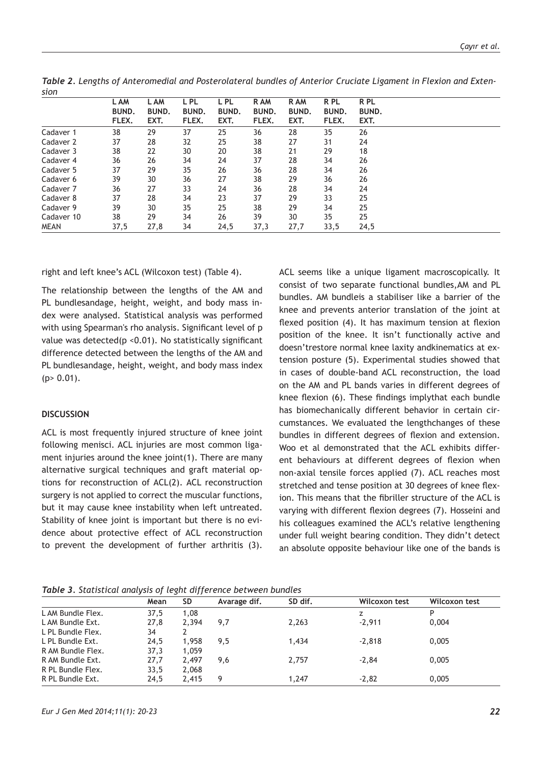| sion        |              |              |              |              |              |       |              |              |
|-------------|--------------|--------------|--------------|--------------|--------------|-------|--------------|--------------|
|             | L AM         | L AM         | L PL         | L PL         | R AM         | R AM  | R PL         | R PL         |
|             | <b>BUND.</b> | <b>BUND.</b> | <b>BUND.</b> | <b>BUND.</b> | <b>BUND.</b> | BUND. | <b>BUND.</b> | <b>BUND.</b> |
|             | FLEX.        | EXT.         | FLEX.        | EXT.         | FLEX.        | EXT.  | FLEX.        | EXT.         |
| Cadaver 1   | 38           | 29           | 37           | 25           | 36           | 28    | 35           | 26           |
| Cadaver 2   | 37           | 28           | 32           | 25           | 38           | 27    | 31           | 24           |
| Cadaver 3   | 38           | 22           | 30           | 20           | 38           | 21    | 29           | 18           |
| Cadaver 4   | 36           | 26           | 34           | 24           | 37           | 28    | 34           | 26           |
| Cadaver 5   | 37           | 29           | 35           | 26           | 36           | 28    | 34           | 26           |
| Cadaver 6   | 39           | 30           | 36           | 27           | 38           | 29    | 36           | 26           |
| Cadaver 7   | 36           | 27           | 33           | 24           | 36           | 28    | 34           | 24           |
| Cadaver 8   | 37           | 28           | 34           | 23           | 37           | 29    | 33           | 25           |
| Cadaver 9   | 39           | 30           | 35           | 25           | 38           | 29    | 34           | 25           |
| Cadaver 10  | 38           | 29           | 34           | 26           | 39           | 30    | 35           | 25           |
| <b>MEAN</b> | 37,5         | 27,8         | 34           | 24,5         | 37,3         | 27,7  | 33,5         | 24,5         |

*Table 2. Lengths of Anteromedial and Posterolateral bundles of Anterior Cruciate Ligament in Flexion and Exten-*

right and left knee's ACL (Wilcoxon test) (Table 4).

The relationship between the lengths of the AM and PL bundlesandage, height, weight, and body mass index were analysed. Statistical analysis was performed with using Spearman's rho analysis. Significant level of p value was detected(p <0.01). No statistically significant difference detected between the lengths of the AM and PL bundlesandage, height, weight, and body mass index  $(p > 0.01)$ .

#### **DISCUSSION**

ACL is most frequently injured structure of knee joint following menisci. ACL injuries are most common ligament injuries around the knee joint(1). There are many alternative surgical techniques and graft material options for reconstruction of ACL(2). ACL reconstruction surgery is not applied to correct the muscular functions, but it may cause knee instability when left untreated. Stability of knee joint is important but there is no evidence about protective effect of ACL reconstruction to prevent the development of further arthritis (3).

ACL seems like a unique ligament macroscopically. It consist of two separate functional bundles,AM and PL bundles. AM bundleis a stabiliser like a barrier of the knee and prevents anterior translation of the joint at flexed position (4). It has maximum tension at flexion position of the knee. It isn't functionally active and doesn'trestore normal knee laxity andkinematics at extension posture (5). Experimental studies showed that in cases of double-band ACL reconstruction, the load on the AM and PL bands varies in different degrees of knee flexion (6). These findings implythat each bundle has biomechanically different behavior in certain circumstances. We evaluated the lengthchanges of these bundles in different degrees of flexion and extension. Woo et al demonstrated that the ACL exhibits different behaviours at different degrees of flexion when non-axial tensile forces applied (7). ACL reaches most stretched and tense position at 30 degrees of knee flexion. This means that the fibriller structure of the ACL is varying with different flexion degrees (7). Hosseini and his colleagues examined the ACL's relative lengthening under full weight bearing condition. They didn't detect an absolute opposite behaviour like one of the bands is

*Table 3. Statistical analysis of leght difference between bundles*

| $\sim$<br>,,, |           |              |         |               |               |  |  |
|---------------|-----------|--------------|---------|---------------|---------------|--|--|
| Mean          | <b>SD</b> | Avarage dif. | SD dif. | Wilcoxon test | Wilcoxon test |  |  |
| 37,5          | 1,08      |              |         |               | P             |  |  |
| 27,8          | 2.394     | 9.7          | 2,263   | $-2.911$      | 0.004         |  |  |
| 34            |           |              |         |               |               |  |  |
| 24,5          | 1,958     | 9.5          | 1.434   | $-2,818$      | 0,005         |  |  |
| 37,3          | 1.059     |              |         |               |               |  |  |
| 27,7          | 2.497     | 9,6          | 2,757   | $-2,84$       | 0,005         |  |  |
| 33,5          | 2,068     |              |         |               |               |  |  |
| 24,5          | 2.415     | Q            | 1.247   | $-2,82$       | 0,005         |  |  |
|               |           |              |         |               |               |  |  |